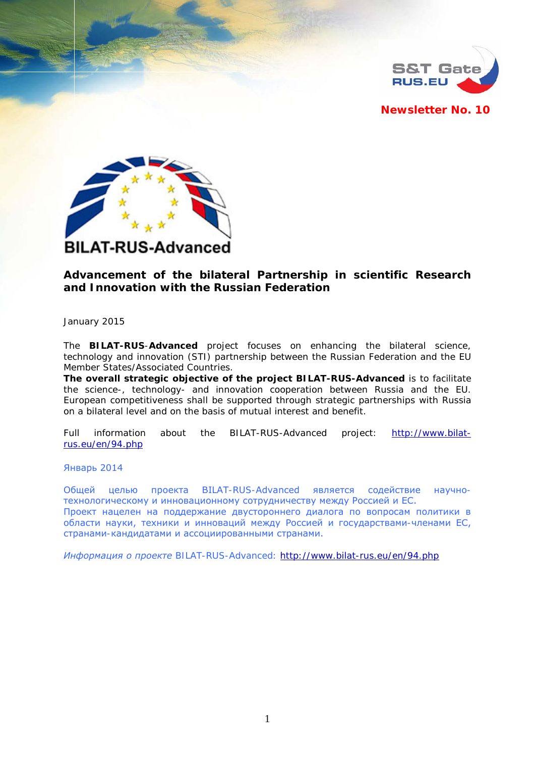

**Newsletter No. 10**



# **Advancement of the bilateral Partnership in scientific Research and Innovation with the Russian Federation**

January 2015

The **BILAT-RUS**-**Advanced** project focuses on enhancing the bilateral science, technology and innovation (STI) partnership between the Russian Federation and the EU Member States/Associated Countries.

**The overall strategic objective of the project BILAT-RUS-Advanced** is to facilitate the science-, technology- and innovation cooperation between Russia and the EU. European competitiveness shall be supported through strategic partnerships with Russia on a bilateral level and on the basis of mutual interest and benefit.

*Full information about the BILAT-RUS*-*Advanced project: [http://www.bilat](http://www.bilat-rus.eu/en/94.php)[rus.eu/en/94.php](http://www.bilat-rus.eu/en/94.php)*

Январь 2014

Общей целью проекта BILAT-RUS-Advanced является содействие научнотехнологическому и инновационному сотрудничеству между Россией и ЕС. Проект нацелен на поддержание двустороннего диалога по вопросам политики в области науки, техники и инноваций между Россией и государствами-членами ЕС, странами-кандидатами и ассоциированными странами.

*Информация о проекте BILAT-RUS-Advanced*: *<http://www.bilat-rus.eu/en/94.php>*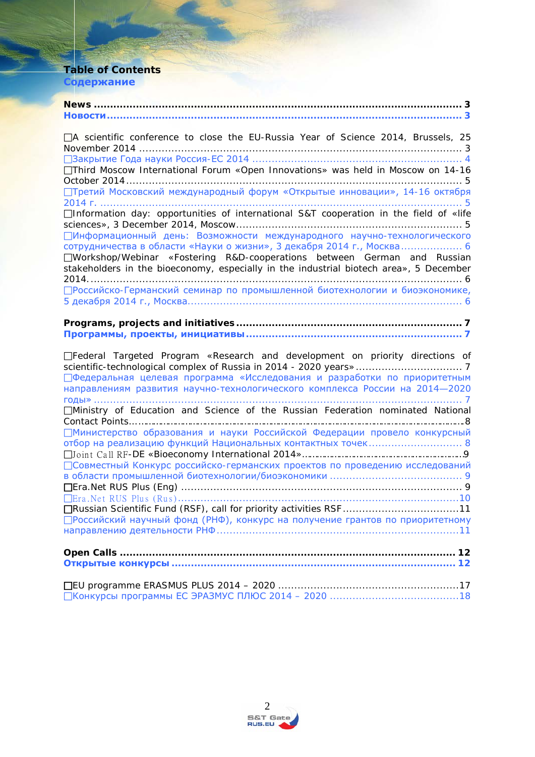# **Table of Contents Содержание**

| □A scientific conference to close the EU-Russia Year of Science 2014, Brussels, 25<br>□Third Moscow International Forum «Open Innovations» was held in Moscow on 14-16                                                                                                                                                                                                                                                                                                                            |
|---------------------------------------------------------------------------------------------------------------------------------------------------------------------------------------------------------------------------------------------------------------------------------------------------------------------------------------------------------------------------------------------------------------------------------------------------------------------------------------------------|
| Претий Московский международный форум «Открытые инновации», 14-16 октября                                                                                                                                                                                                                                                                                                                                                                                                                         |
| □Information day: opportunities of international S&T cooperation in the field of «life<br>ПИнформационный день: Возможности международного научно-технологического<br>сотрудничества в области «Науки о жизни», 3 декабря 2014 г., Москва 6<br>□Workshop/Webinar «Fostering R&D-cooperations between German and Russian<br>stakeholders in the bioeconomy, especially in the industrial biotech area», 5 December<br>□ Российско-Германский семинар по промышленной биотехнологии и биоэкономике, |
|                                                                                                                                                                                                                                                                                                                                                                                                                                                                                                   |
| □Federal Targeted Program «Research and development on priority directions of<br>□ Федеральная целевая программа «Исследования и разработки по приоритетным<br>направлениям развития научно-технологического комплекса России на 2014-2020                                                                                                                                                                                                                                                        |
| □Ministry of Education and Science of the Russian Federation nominated National<br>ПМинистерство образования и науки Российской Федерации провело конкурсный<br>□Совместный Конкурс российско-германских проектов по проведению исследований                                                                                                                                                                                                                                                      |

| □Совместный Конкурс российско-германских проектов по проведению исследований   |
|--------------------------------------------------------------------------------|
|                                                                                |
|                                                                                |
|                                                                                |
| □Russian Scientific Fund (RSF), call for priority activities RSF 11            |
| □ Российский научный фонд (РНФ), конкурс на получение грантов по приоритетному |
|                                                                                |
|                                                                                |
|                                                                                |
|                                                                                |

[Конкурсы программы ЕС ЭРАЗМУС ПЛЮС 2014](#page-17-0) – 2020 ........................................18

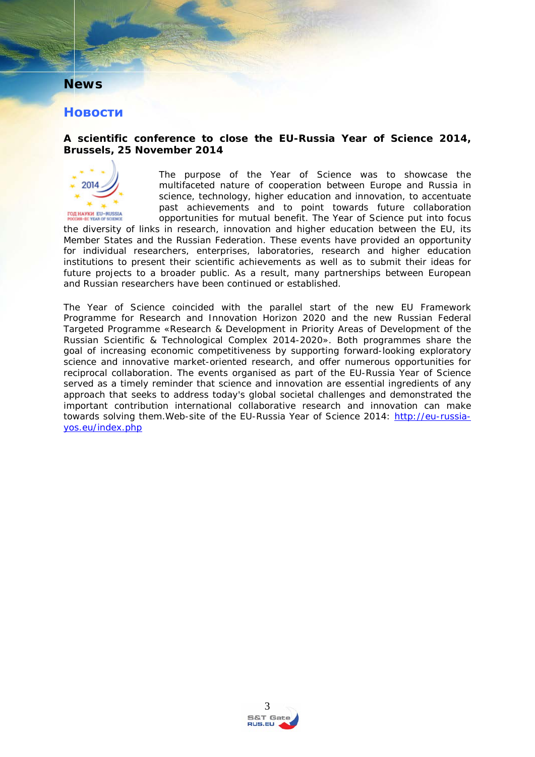# <span id="page-2-0"></span>**News**

# <span id="page-2-1"></span>**Новости**

#### <span id="page-2-2"></span>**A scientific conference to close the EU-Russia Year of Science 2014, Brussels, 25 November 2014**



The purpose of the Year of Science was to showcase the multifaceted nature of cooperation between Europe and Russia in science, technology, higher education and innovation, to accentuate past achievements and to point towards future collaboration opportunities for mutual benefit. The Year of Science put into focus

the diversity of links in research, innovation and higher education between the EU, its Member States and the Russian Federation. These events have provided an opportunity for individual researchers, enterprises, laboratories, research and higher education institutions to present their scientific achievements as well as to submit their ideas for future projects to a broader public. As a result, many partnerships between European and Russian researchers have been continued or established.

The Year of Science coincided with the parallel start of the new EU Framework Programme for Research and Innovation Horizon 2020 and the new Russian Federal Targeted Programme «Research & Development in Priority Areas of Development of the Russian Scientific & Technological Complex 2014-2020». Both programmes share the goal of increasing economic competitiveness by supporting forward-looking exploratory science and innovative market-oriented research, and offer numerous opportunities for reciprocal collaboration. The events organised as part of the EU-Russia Year of Science served as a timely reminder that science and innovation are essential ingredients of any approach that seeks to address today's global societal challenges and demonstrated the important contribution international collaborative research and innovation can make towards solving them.*Web-site of the EU-Russia Year of Science 2014: [http://eu-russia](http://eu-russia-yos.eu/index.php)[yos.eu/index.php](http://eu-russia-yos.eu/index.php)*

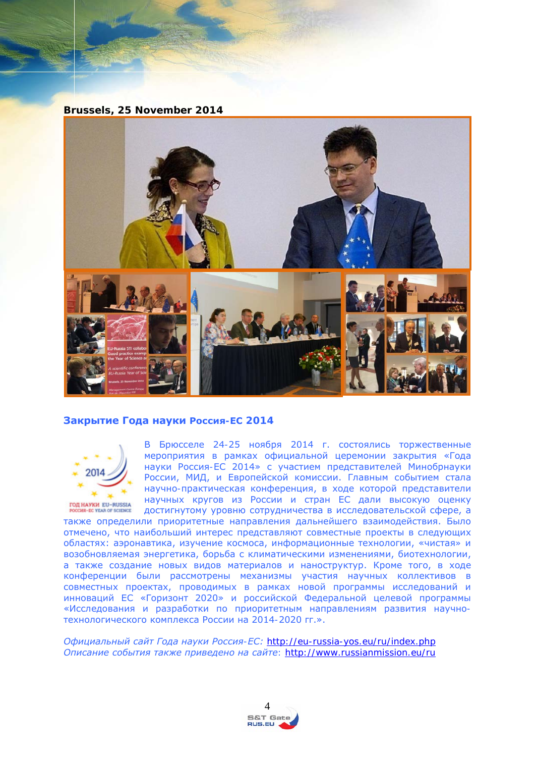**Brussels, 25 November 2014**



#### <span id="page-3-0"></span>**Закрытие Года науки Россия-ЕС 2014**



В Брюсселе 24-25 ноября 2014 г. состоялись торжественные мероприятия в рамках официальной церемонии закрытия «Года науки Россия-ЕС 2014» с участием представителей Минобрнауки России, МИД, и Европейской комиссии. Главным событием стала научно-практическая конференция, в ходе которой представители научных кругов из России и стран ЕС дали высокую оценку достигнутому уровню сотрудничества в исследовательской сфере, а

также определили приоритетные направления дальнейшего взаимодействия. Было отмечено, что наибольший интерес представляют совместные проекты в следующих областях: аэронавтика, изучение космоса, информационные технологии, «чистая» и возобновляемая энергетика, борьба с климатическими изменениями, биотехнологии, а также создание новых видов материалов и наноструктур. Кроме того, в ходе конференции были рассмотрены механизмы участия научных коллективов в совместных проектах, проводимых в рамках новой программы исследований и инноваций ЕС «Горизонт 2020» и российской Федеральной целевой программы «Исследования и разработки по приоритетным направлениям развития научнотехнологического комплекса России на 2014-2020 гг.».

*Официальный сайт Года науки Россия-ЕС: <http://eu-russia-yos.eu/ru/index.php> Описание события также приведено на сайте:<http://www.russianmission.eu/ru>*

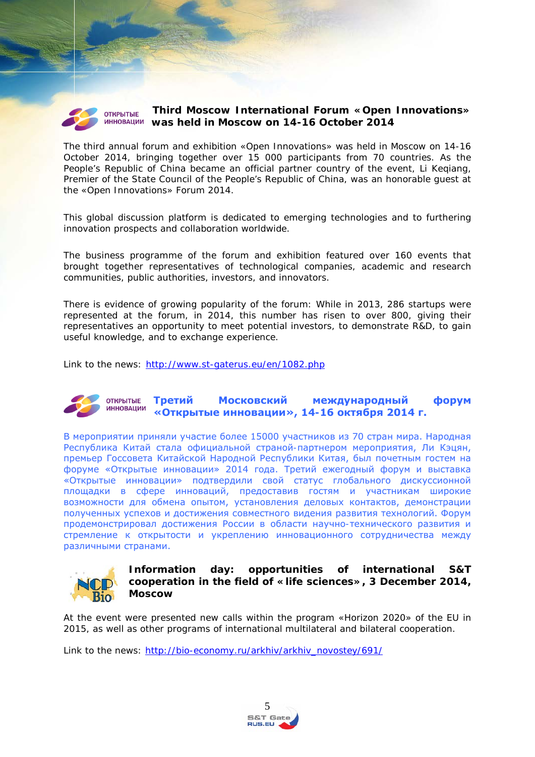

#### <span id="page-4-0"></span>**Third Moscow International Forum «Open Innovations» was held in Moscow on 14-16 October 2014**

The third annual forum and exhibition «Open Innovations» was held in Moscow on 14-16 October 2014, bringing together over 15 000 participants from 70 countries. As the People's Republic of China became an official partner country of the event, Li Keqiang, Premier of the State Council of the People's Republic of China, was an honorable guest at the «Open Innovations» Forum 2014.

This global discussion platform is dedicated to emerging technologies and to furthering innovation prospects and collaboration worldwide.

The business programme of the forum and exhibition featured over 160 events that brought together representatives of technological companies, academic and research communities, public authorities, investors, and innovators.

There is evidence of growing popularity of the forum: While in 2013, 286 startups were represented at the forum, in 2014, this number has risen to over 800, giving their representatives an opportunity to meet potential investors, to demonstrate R&D, to gain useful knowledge, and to exchange experience.

*Link to the news: <http://www.st-gaterus.eu/en/1082.php>*

#### <span id="page-4-1"></span>**Третий Московский международный форум OTKPЫTЫE ИННОВАЦИИ «Открытые инновации», 14-16 октября 2014 г.**

В мероприятии приняли участие более 15000 участников из 70 стран мира. Народная Республика Китай стала официальной страной-партнером мероприятия, Ли Кэцян, премьер Госсовета Китайской Народной Республики Китая, был почетным гостем на форуме «Открытые инновации» 2014 года. Третий ежегодный форум и выставка «Открытые инновации» подтвердили свой статус глобального дискуссионной площадки в сфере инноваций, предоставив гостям и участникам широкие возможности для обмена опытом, установления деловых контактов, демонстрации полученных успехов и достижения совместного видения развития технологий. Форум продемонстрировал достижения России в области научно-технического развития и стремление к открытости и укреплению инновационного сотрудничества между различными странами.



#### <span id="page-4-2"></span>**Information day: opportunities of international S&T cooperation in the field of «life sciences», 3 December 2014, Moscow**

At the event were presented new calls within the program «Horizon 2020» of the EU in 2015, as well as other programs of international multilateral and bilateral cooperation.

*Link to the news: http://bio-economy.ru/arkhiv/arkhiv\_novostey/691/*

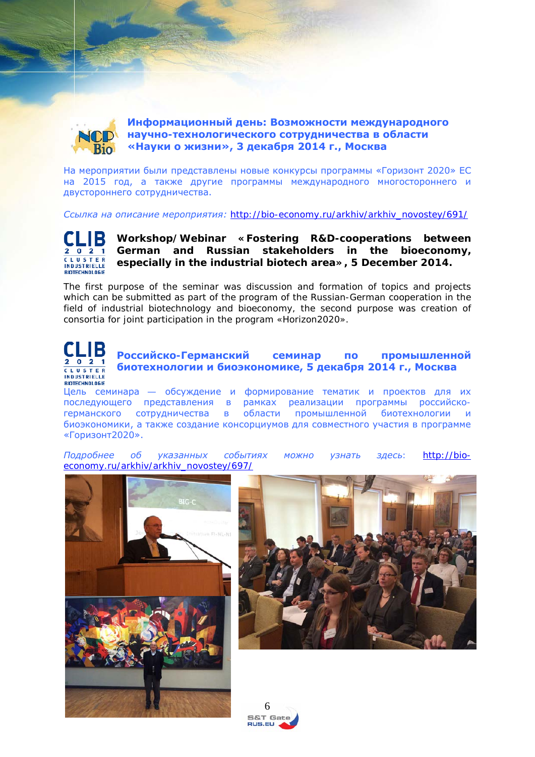<span id="page-5-0"></span>

**Информационный день: Возможности международного научно-технологического сотрудничества в области «Науки о жизни», 3 декабря 2014 г., Москва**

На мероприятии были представлены новые конкурсы программы «Горизонт 2020» ЕС на 2015 год, а также другие программы международного многостороннего и двустороннего сотрудничества.

*Ссылка на описание мероприятия: http://bio-economy.ru/arkhiv/arkhiv\_novostey/691/*



<span id="page-5-1"></span>**Workshop/Webinar «Fostering R&D-cooperations between German and Russian stakeholders in the bioeconomy, especially in the industrial biotech area», 5 December 2014.**

The first purpose of the seminar was discussion and formation of topics and projects which can be submitted as part of the program of the Russian-German cooperation in the field of industrial biotechnology and bioeconomy, the second purpose was creation of consortia for joint participation in the program «Horizon2020».



<span id="page-5-2"></span>**Российско-Германский семинар по промышленной биотехнологии и биоэкономике, 5 декабря 2014 г., Москва**

Цель семинара — обсуждение и формирование тематик и проектов для их последующего представления в рамках реализации программы российскогерманского сотрудничества в области промышленной биотехнологии и биоэкономики, а также создание консорциумов для совместного участия в программе «Горизонт2020».

*Подробнее об указанных событиях можно узнать здесь: [http://bio](http://bio-economy.ru/arkhiv/arkhiv_novostey/697/)[economy.ru/arkhiv/arkhiv\\_novostey/697/](http://bio-economy.ru/arkhiv/arkhiv_novostey/697/)*





 $6<sup>6</sup>$ 5&T Gate RUS.EU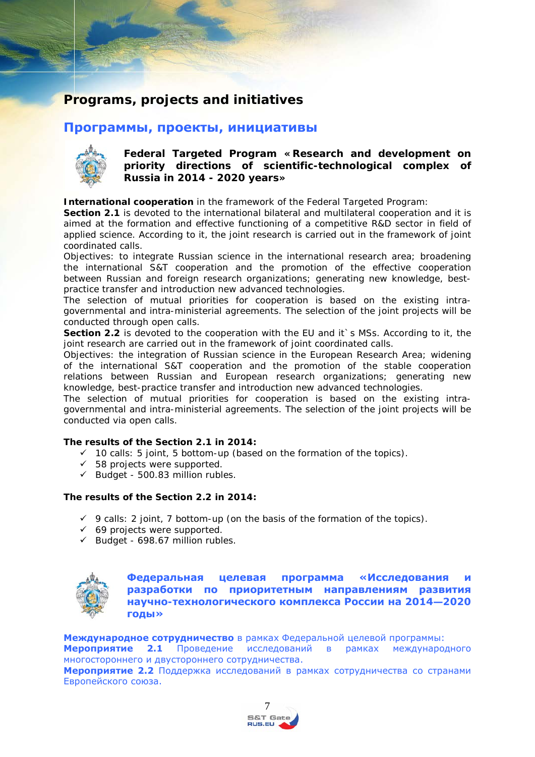# <span id="page-6-0"></span>**Programs, projects and initiatives**

## <span id="page-6-1"></span>**Программы, проекты, инициативы**



<span id="page-6-2"></span>**Federal Targeted Program «Research and development on priority directions of scientific-technological complex of Russia in 2014 - 2020 years»**

**International cooperation** in the framework of the Federal Targeted Program:

**Section 2.1** is devoted to the international bilateral and multilateral cooperation and it is aimed at the formation and effective functioning of a competitive R&D sector in field of applied science. According to it, the joint research is carried out in the framework of joint coordinated calls.

Objectives: to integrate Russian science in the international research area; broadening the international S&T cooperation and the promotion of the effective cooperation between Russian and foreign research organizations; generating new knowledge, bestpractice transfer and introduction new advanced technologies.

The selection of mutual priorities for cooperation is based on the existing intragovernmental and intra-ministerial agreements. The selection of the joint projects will be conducted through open calls.

**Section 2.2** is devoted to the cooperation with the EU and it s MSs. According to it, the joint research are carried out in the framework of joint coordinated calls.

Objectives: the integration of Russian science in the European Research Area; widening of the international S&T cooperation and the promotion of the stable cooperation relations between Russian and European research organizations; generating new knowledge, best-practice transfer and introduction new advanced technologies.

The selection of mutual priorities for cooperation is based on the existing intragovernmental and intra-ministerial agreements. The selection of the joint projects will be conducted via open calls.

#### **The results of the Section 2.1 in 2014:**

- $\checkmark$  10 calls: 5 joint, 5 bottom-up (based on the formation of the topics).
- $\checkmark$  58 projects were supported.
- $\checkmark$  Budget 500.83 million rubles.

#### **The results of the Section 2.2 in 2014:**

- $\checkmark$  9 calls: 2 joint, 7 bottom-up (on the basis of the formation of the topics).
- $69$  projects were supported.
- $\checkmark$  Budget 698.67 million rubles.



<span id="page-6-3"></span>Федеральная целевая программа «Исследования **разработки по приоритетным направлениям развития научно-технологического комплекса России на 2014—2020 годы»**

**Международное сотрудничество** в рамках Федеральной целевой программы:

**Мероприятие 2.1** Проведение исследований в рамках международного многостороннего и двустороннего сотрудничества.

**Мероприятие 2.2** Поддержка исследований в рамках сотрудничества со странами Европейского союза.

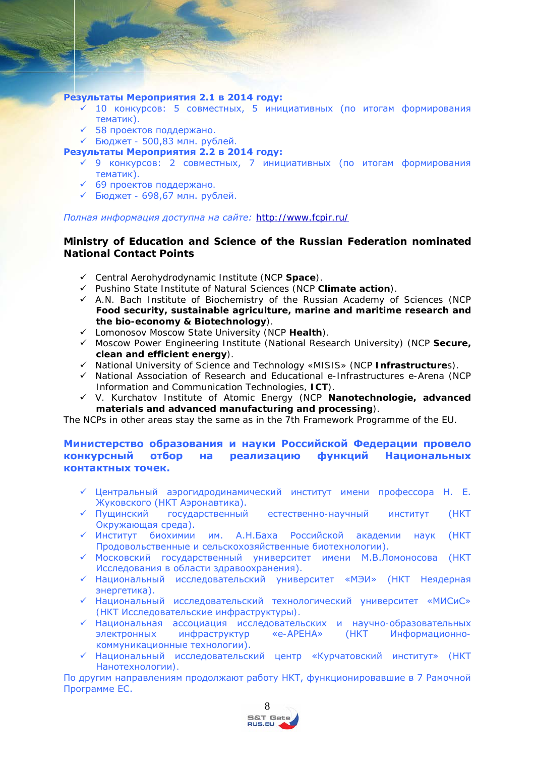#### **Результаты Мероприятия 2.1 в 2014 году:**

- $\leq$  10 конкурсов: 5 совместных, 5 инициативных (по итогам формирования тематик).
- 58 проектов поддержано.
- Бюджет 500,83 млн. рублей.
- **Результаты Мероприятия 2.2 в 2014 году:**
	- 9 конкурсов: 2 совместных, 7 инициативных (по итогам формирования тематик).
	- 69 проектов поддержано.
	- Бюджет 698,67 млн. рублей.

#### *Полная информация доступна на сайте: <http://www.fcpir.ru/>*

#### **Ministry of Education and Science of the Russian Federation nominated National Contact Points**

- Central Aerohydrodynamic Institute (NCP **Space**).
- Pushino State Institute of Natural Sciences (NCP **Climate action**).
- $\checkmark$  A.N. Bach Institute of Biochemistry of the Russian Academy of Sciences (NCP **Food security, sustainable agriculture, marine and maritime research and the bio-economy & Biotechnology**).
- Lomonosov Moscow State University (NCP **Health**).
- Moscow Power Engineering Institute (National Research University) (NCP **Secure, clean and efficient energy**).
- National University of Science and Technology «MISIS» (NCP **Infrastructure**s).
- $\checkmark$  National Association of Research and Educational e-Infrastructures e-Arena (NCP) Information and Communication Technologies, **ICT**).
- V. Kurchatov Institute of Atomic Energy (NCP **Nanotechnologie, advanced materials and advanced manufacturing and processing**).

<span id="page-7-0"></span>The NCPs in other areas stay the same as in the 7th Framework Programme of the EU.

#### **Министерство образования и науки Российской Федерации провело конкурсный отбор на реализацию функций Национальных контактных точек.**

- Центральный аэрогидродинамический институт имени профессора Н. Е. Жуковского (НКТ Аэронавтика).
- Пущинский государственный естественно-научный институт (НКТ Окружающая среда).
- Институт биохимии им. А.Н.Баха Российской академии наук (НКТ Продовольственные и сельскохозяйственные биотехнологии).
- Московский государственный университет имени М.В.Ломоносова (НКТ Исследования в области здравоохранения).
- Национальный исследовательский университет «МЭИ» (НКТ Неядерная энергетика).
- Национальный исследовательский технологический университет «МИСиС» (НКТ Исследовательские инфраструктуры).
- Национальная ассоциация исследовательских и научно-образовательных электронных инфраструктур «e-АРЕНА» (НКТ Информационнокоммуникационные технологии).
- Национальный исследовательский центр «Курчатовский институт» (НКТ Нанотехнологии).

По другим направлениям продолжают работу НКТ, функционировавшие в 7 Рамочной Программе ЕС.

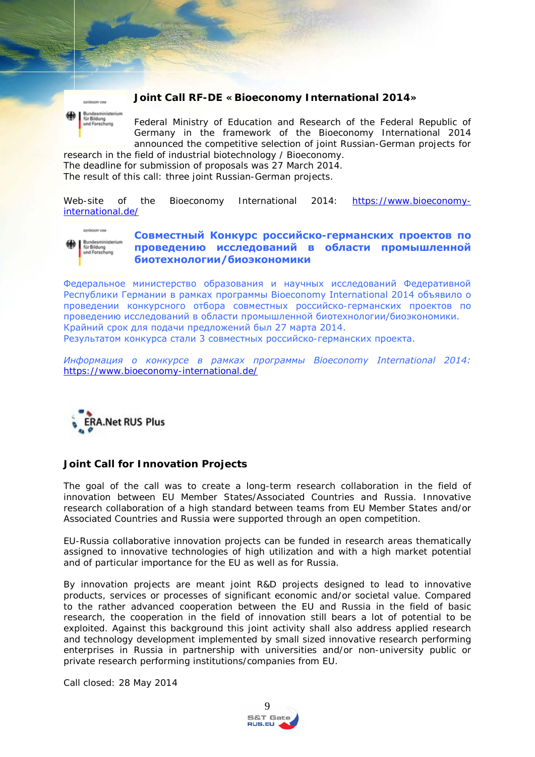

#### **Joint Call RF-DE «Bioeconomy International 2014»**

Federal Ministry of Education and Research of the Federal Republic of Germany in the framework of the Bioeconomy International 2014 announced the competitive selection of joint Russian-German projects for

research in the field of industrial biotechnology / Bioeconomy. The deadline for submission of proposals was 27 March 2014. The result of this call: three joint Russian-German projects.

*Web-site of the Bioeconomy International 2014: [https://www.bioeconomy](https://www.bioeconomy-international.de/)[international.de/](https://www.bioeconomy-international.de/)*



#### <span id="page-8-0"></span>**Совместный Конкурс российско-германских проектов по проведению исследований в области промышленной биотехнологии/биоэкономики**

Федеральное министерство образования и научных исследований Федеративной Республики Германии в рамках программы Bioeconomy International 2014 объявило о проведении конкурсного отбора совместных российско-германских проектов по проведению исследований в области промышленной биотехнологии/биоэкономики. Крайний срок для подачи предложений был 27 марта 2014.

Результатом конкурса стали 3 совместных российско-германских проекта.

*Информация о конкурсе в рамках программы Bioeconomy International 2014: <https://www.bioeconomy-international.de/>*



#### <span id="page-8-1"></span>**Joint Call for Innovation Projects**

The goal of the call was to create a long-term research collaboration in the field of innovation between EU Member States/Associated Countries and Russia. Innovative research collaboration of a high standard between teams from EU Member States and/or Associated Countries and Russia were supported through an open competition.

EU-Russia collaborative innovation projects can be funded in research areas thematically assigned to innovative technologies of high utilization and with a high market potential and of particular importance for the EU as well as for Russia.

By innovation projects are meant joint R&D projects designed to lead to innovative products, services or processes of significant economic and/or societal value. Compared to the rather advanced cooperation between the EU and Russia in the field of basic research, the cooperation in the field of innovation still bears a lot of potential to be exploited. Against this background this joint activity shall also address applied research and technology development implemented by small sized innovative research performing enterprises in Russia in partnership with universities and/or non-university public or private research performing institutions/companies from EU.

Call closed: 28 May 2014

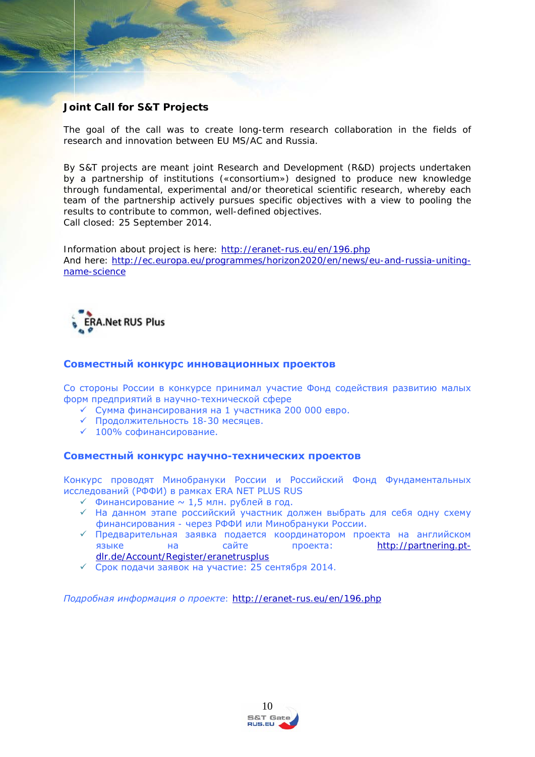## <span id="page-9-0"></span>**Joint Call for S&T Projects**

The goal of the call was to create long-term research collaboration in the fields of research and innovation between EU MS/AC and Russia.

By S&T projects are meant joint Research and Development (R&D) projects undertaken by a partnership of institutions («consortium») designed to produce new knowledge through fundamental, experimental and/or theoretical scientific research, whereby each team of the partnership actively pursues specific objectives with a view to pooling the results to contribute to common, well-defined objectives. Call closed: 25 September 2014.

*Information about project is here:<http://eranet-rus.eu/en/196.php> And here: [http://ec.europa.eu/programmes/horizon2020/en/news/eu-and-russia-uniting](http://ec.europa.eu/programmes/horizon2020/en/news/eu-and-russia-uniting-name-science)[name-science](http://ec.europa.eu/programmes/horizon2020/en/news/eu-and-russia-uniting-name-science)*



#### **Совместный конкурс инновационных проектов**

Со стороны России в конкурсе принимал участие Фонд содействия развитию малых форм предприятий в научно-технической сфере

- Сумма финансирования на 1 участника 200 000 евро.
- Продолжительность 18-30 месяцев.
- $\checkmark$  100% софинансирование.

#### **Совместный конкурс научно-технических проектов**

Конкурс проводят Минобрануки России и Российский Фонд Фундаментальных исследований (РФФИ) в рамках ERA NET PLUS RUS

- $\checkmark$  Финансирование  $\sim$  1.5 млн. рублей в год.
- На данном этапе российский участник должен выбрать для себя одну схему финансирования - через РФФИ или Минобрануки России.
- Предварительная заявка подается координатором проекта на английском языке на сайте проекта: [http://partnering.pt](http://partnering.pt-dlr.de/Account/Register/eranetrusplus)[dlr.de/Account/Register/eranetrusplus](http://partnering.pt-dlr.de/Account/Register/eranetrusplus)
- Срок подачи заявок на участие: 25 сентября 2014.

*Подробная информация о проекте: <http://eranet-rus.eu/en/196.php>*

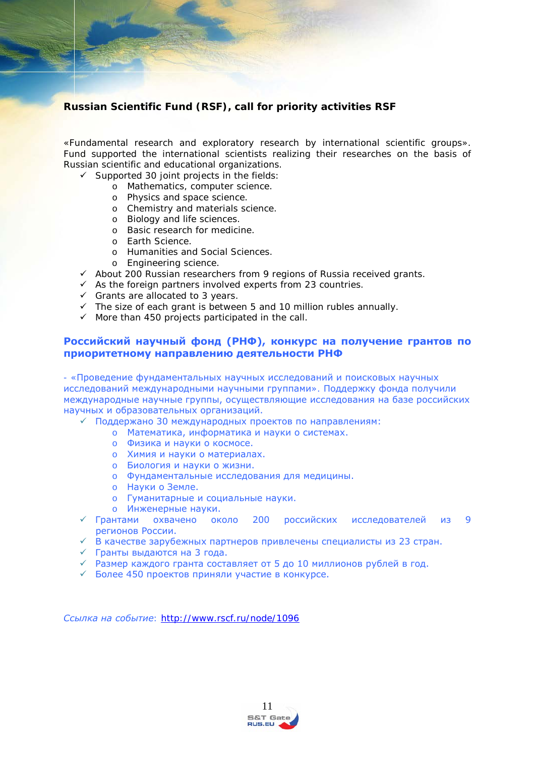## **Russian Scientific Fund (RSF), call for priority activities RSF**

«Fundamental research and exploratory research by international scientific groups». Fund supported the international scientists realizing their researches on the basis of Russian scientific and educational organizations.

- $\checkmark$  Supported 30 joint projects in the fields:
	- o Mathematics, computer science.
	- o Physics and space science.
	- o Chemistry and materials science.
	- o Biology and life sciences.
	- o Basic research for medicine.
	- o Earth Science.
	- o Humanities and Social Sciences.
	- o Engineering science.
- $\checkmark$  About 200 Russian researchers from 9 regions of Russia received grants.
- $\checkmark$  As the foreign partners involved experts from 23 countries.
- $\checkmark$  Grants are allocated to 3 years.
- $\checkmark$  The size of each grant is between 5 and 10 million rubles annually.
- $\checkmark$  More than 450 projects participated in the call.

#### <span id="page-10-0"></span>**Российский научный фонд (РНФ), конкурс на получение грантов по приоритетному направлению деятельности РНФ**

- «Проведение фундаментальных научных исследований и поисковых научных исследований международными научными группами». Поддержку фонда получили международные научные группы, осуществляющие исследования на базе российских научных и образовательных организаций.

- Поддержано 30 международных проектов по направлениям:
	- o Математика, информатика и науки о системах.
	- o Физика и науки о космосе.
	- o Химия и науки о материалах.
	- o Биология и науки о жизни.
	- o Фундаментальные исследования для медицины.
	- o Науки о Земле.
	- o Гуманитарные и социальные науки.
	- o Инженерные науки.
- Грантами охвачено около 200 российских исследователей из 9 регионов России.
- В качестве зарубежных партнеров привлечены специалисты из 23 стран.
- Гранты выдаются на 3 года.
- $\checkmark$  Размер каждого гранта составляет от 5 до 10 миллионов рублей в год.
- Более 450 проектов приняли участие в конкурсе.

*Ссылка на событие*: *<http://www.rscf.ru/node/1096>*

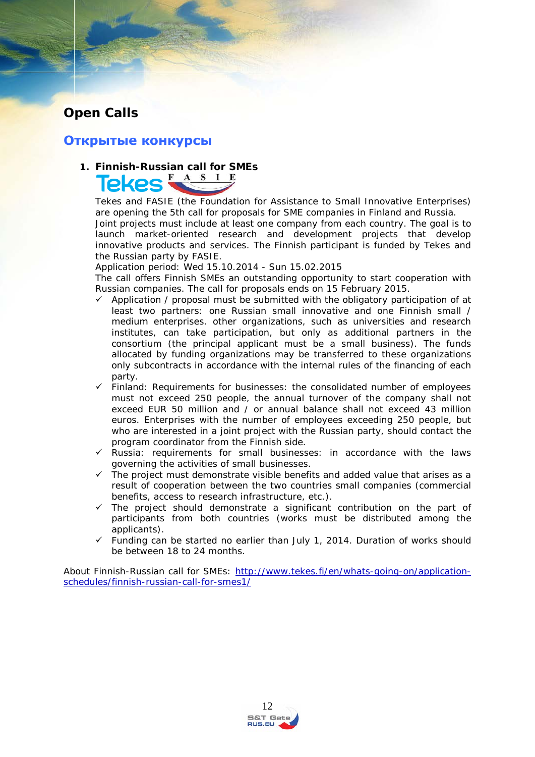# <span id="page-11-0"></span>**Open Calls**

# <span id="page-11-1"></span>**Открытые конкурсы**

# **1. Finnish-Russian call for SMEs**

 Tekes and FASIE (the Foundation for Assistance to Small Innovative Enterprises) are opening the 5th call for proposals for SME companies in Finland and Russia.

Joint projects must include at least one company from each country. The goal is to launch market-oriented research and development projects that develop innovative products and services. The Finnish participant is funded by Tekes and the Russian party by FASIE.

Application period: Wed 15.10.2014 - Sun 15.02.2015

The call offers Finnish SMEs an outstanding opportunity to start cooperation with Russian companies. The call for proposals ends on 15 February 2015.

- $\checkmark$  Application / proposal must be submitted with the obligatory participation of at least two partners: one Russian small innovative and one Finnish small / medium enterprises. other organizations, such as universities and research institutes, can take participation, but only as additional partners in the consortium (the principal applicant must be a small business). The funds allocated by funding organizations may be transferred to these organizations only subcontracts in accordance with the internal rules of the financing of each party.
- $\checkmark$  Finland: Requirements for businesses: the consolidated number of employees must not exceed 250 people, the annual turnover of the company shall not exceed EUR 50 million and / or annual balance shall not exceed 43 million euros. Enterprises with the number of employees exceeding 250 people, but who are interested in a joint project with the Russian party, should contact the program coordinator from the Finnish side.
- $\checkmark$  Russia: requirements for small businesses: in accordance with the laws governing the activities of small businesses.
- $\checkmark$  The project must demonstrate visible benefits and added value that arises as a result of cooperation between the two countries small companies (commercial benefits, access to research infrastructure, etc.).
- The project should demonstrate a significant contribution on the part of participants from both countries (works must be distributed among the applicants).
- Funding can be started no earlier than July 1, 2014. Duration of works should be between 18 to 24 months.

*About Finnish-Russian call for SMEs: [http://www.tekes.fi/en/whats-going-on/application](http://www.tekes.fi/en/whats-going-on/application-schedules/finnish-russian-call-for-smes1/)[schedules/finnish-russian-call-for-smes1/](http://www.tekes.fi/en/whats-going-on/application-schedules/finnish-russian-call-for-smes1/)*

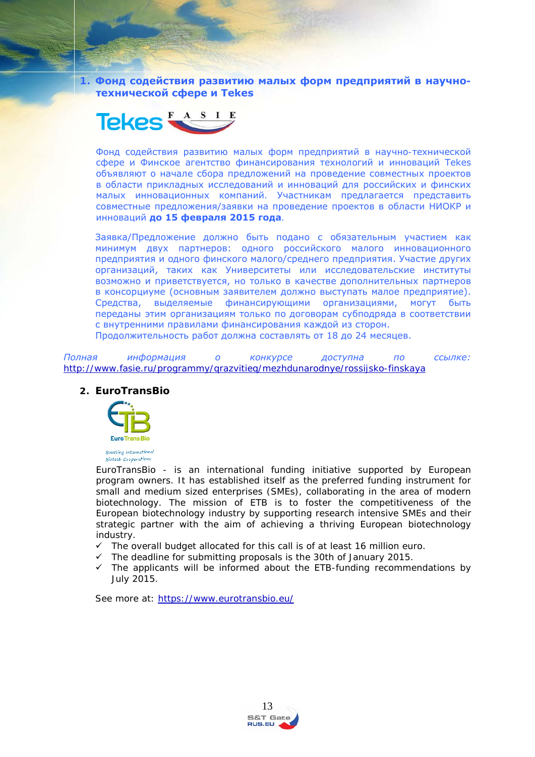**1. Фонд содействия развитию малых форм предприятий в научнотехнической сфере и Тekes**



Фонд содействия развитию малых форм предприятий в научно-технической сфере и Финское агентство финансирования технологий и инноваций Тekes объявляют о начале сбора предложений на проведение совместных проектов в области прикладных исследований и инноваций для российских и финских малых инновационных компаний. Участникам предлагается представить совместные предложения/заявки на проведение проектов в области НИОКР и инноваций **до 15 февраля 2015 года**.

Заявка/Предложение должно быть подано с обязательным участием как минимум двух партнеров: одного российского малого инновационного предприятия и одного финского малого/среднего предприятия. Участие других организаций, таких как Университеты или исследовательские институты возможно и приветствуется, но только в качестве дополнительных партнеров в консорциуме (основным заявителем должно выступать малое предприятие). Средства, выделяемые финансирующими организациями, могут быть переданы этим организациям только по договорам субподряда в соответствии с внутренними правилами финансирования каждой из сторон.

Продолжительность работ должна составлять от 18 до 24 месяцев.

*Полная информация о конкурсе доступна по ссылке: <http://www.fasie.ru/programmy/qrazvitieq/mezhdunarodnye/rossijsko-finskaya>*

#### **2. EuroTransBio**



EuroTransBio - is an international funding initiative supported by European program owners. It has established itself as the preferred funding instrument for small and medium sized enterprises (SMEs), collaborating in the area of modern biotechnology. The mission of ETB is to foster the competitiveness of the European biotechnology industry by supporting research intensive SMEs and their strategic partner with the aim of achieving a thriving European biotechnology industry.

- $\checkmark$  The overall budget allocated for this call is of at least 16 million euro.
- $\checkmark$  The deadline for submitting proposals is the 30th of January 2015.
- $\checkmark$  The applicants will be informed about the ETB-funding recommendations by July 2015.

*See more at:<https://www.eurotransbio.eu/>*

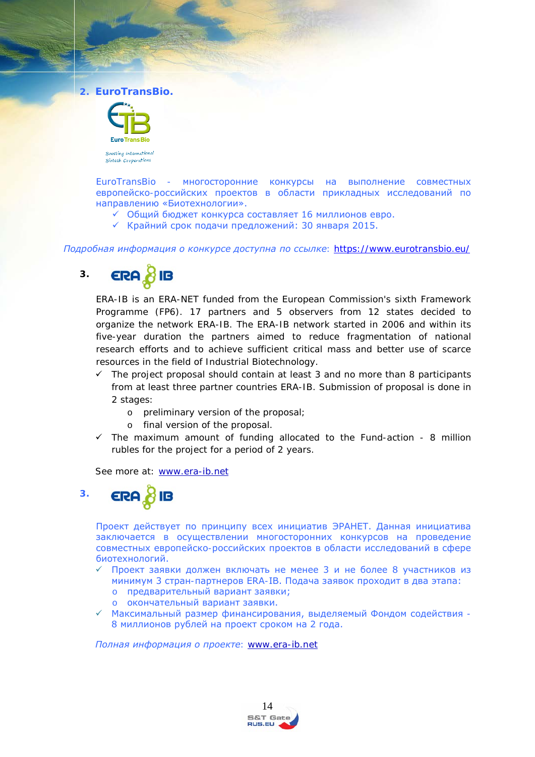**2. EuroTransBio.**



EuroTransBio - многосторонние конкурсы на выполнение совместных европейско-российских проектов в области прикладных исследований по направлению «Биотехнологии».

- Общий бюджет конкурса составляет 16 миллионов евро.
- $\checkmark$  Крайний срок подачи предложений: 30 января 2015.

*Подробная информация о конкурсе доступна по ссылке: <https://www.eurotransbio.eu/>*

#### ERA & IB **3.**

ERA-IB is an ERA-NET funded from the European Commission's sixth Framework Programme (FP6). 17 partners and 5 observers from 12 states decided to organize the network ERA-IB. The ERA-IB network started in 2006 and within its five-year duration the partners aimed to reduce fragmentation of national research efforts and to achieve sufficient critical mass and better use of scarce resources in the field of Industrial Biotechnology.

- $\checkmark$  The project proposal should contain at least 3 and no more than 8 participants from at least three partner countries ERA-IB. Submission of proposal is done in 2 stages:
	- o preliminary version of the proposal;
	- o final version of the proposal.
- $\checkmark$  The maximum amount of funding allocated to the Fund-action 8 million rubles for the project for a period of 2 years.

*See more at: [www.era-ib.net](http://www.era-ib.net/)*



Проект действует по принципу всех инициатив ЭРАНЕТ. Данная инициатива заключается в осуществлении многосторонних конкурсов на проведение совместных европейско-российских проектов в области исследований в сфере биотехнологий.

- Проект заявки должен включать не менее 3 и не более 8 участников из минимум 3 стран-партнеров ERA-IB. Подача заявок проходит в два этапа:
	- o предварительный вариант заявки;
	- o окончательный вариант заявки.
- Максимальный размер финансирования, выделяемый Фондом содействия 8 миллионов рублей на проект сроком на 2 года.

*Полная информация о проекте*: *[www.era-ib.net](http://www.era-ib.net/)*

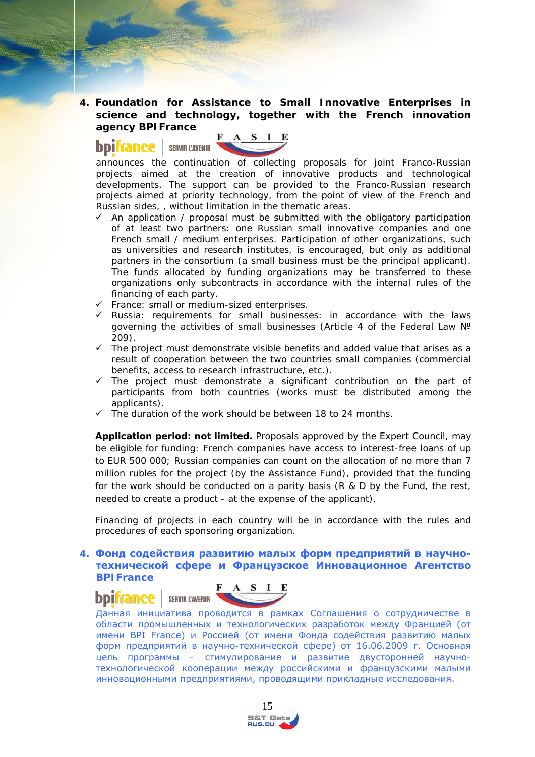**4. Foundation for Assistance to Small Innovative Enterprises in science and technology, together with the French innovation agency BPIFrance**

# A S I E

**bpifrance** | SERVIR L'AVENIR<br>announces the continuation of collecting proposals for joint Franco-Russian projects aimed at the creation of innovative products and technological developments. The support can be provided to the Franco-Russian research projects aimed at priority technology, from the point of view of the French and Russian sides, , without limitation in the thematic areas.

- An application / proposal must be submitted with the obligatory participation of at least two partners: one Russian small innovative companies and one French small / medium enterprises. Participation of other organizations, such as universities and research institutes, is encouraged, but only as additional partners in the consortium (a small business must be the principal applicant). The funds allocated by funding organizations may be transferred to these organizations only subcontracts in accordance with the internal rules of the financing of each party.
- $\checkmark$  France: small or medium-sized enterprises.
- $\checkmark$  Russia: requirements for small businesses: in accordance with the laws governing the activities of small businesses (Article 4 of the Federal Law Nº 209).
- $\checkmark$  The project must demonstrate visible benefits and added value that arises as a result of cooperation between the two countries small companies (commercial benefits, access to research infrastructure, etc.).
- $\checkmark$  The project must demonstrate a significant contribution on the part of participants from both countries (works must be distributed among the applicants).
- The duration of the work should be between 18 to 24 months.

**Application period: not limited.** Proposals approved by the Expert Council, may be eligible for funding: French companies have access to interest-free loans of up to EUR 500 000; Russian companies can count on the allocation of no more than 7 million rubles for the project (by the Assistance Fund), provided that the funding for the work should be conducted on a parity basis (R & D by the Fund, the rest, needed to create a product - at the expense of the applicant).

Financing of projects in each country will be in accordance with the rules and procedures of each sponsoring organization.

**4. Фонд содействия развитию малых форм предприятий в научнотехнической сфере и Французское Инновационное Агентство BPIFrance**



 Данная инициатива проводится в рамках Соглашения о сотрудничестве в области промышленных и технологических разработок между Францией (от имени BPI France) и Россией (от имени Фонда содействия развитию малых форм предприятий в научно-технической сфере) от 16.06.2009 г. Основная цель программы – стимулирование и развитие двусторонней научнотехнологической кооперации между российскими и французскими малыми инновационными предприятиями, проводящими прикладные исследования.

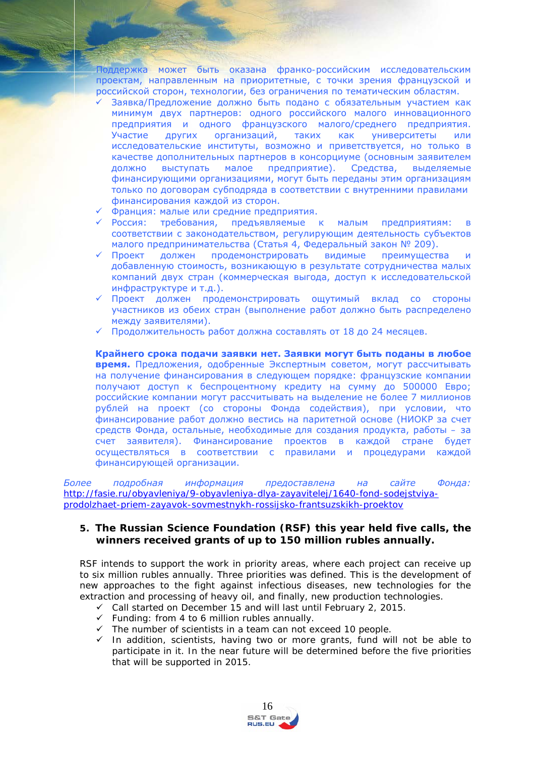Поддержка может быть оказана франко-российским исследовательским проектам, направленным на приоритетные, с точки зрения французской и российской сторон, технологии, без ограничения по тематическим областям.

- Заявка/Предложение должно быть подано с обязательным участием как минимум двух партнеров: одного российского малого инновационного предприятия и одного французского малого/среднего предприятия. Участие других организаций, таких как университеты или исследовательские институты, возможно и приветствуется, но только в качестве дополнительных партнеров в консорциуме (основным заявителем должно выступать малое предприятие). Средства, выделяемые финансирующими организациями, могут быть переданы этим организациям только по договорам субподряда в соответствии с внутренними правилами финансирования каждой из сторон.
- Франция: малые или средние предприятия.
- Россия: требования, предъявляемые к малым предприятиям: в соответствии с законодательством, регулирующим деятельность субъектов малого предпринимательства (Статья 4, Федеральный закон № 209).
- Проект должен продемонстрировать видимые преимущества и добавленную стоимость, возникающую в результате сотрудничества малых компаний двух стран (коммерческая выгода, доступ к исследовательской инфраструктуре и т.д.).
- Проект должен продемонстрировать ощутимый вклад со стороны участников из обеих стран (выполнение работ должно быть распределено между заявителями).
- Продолжительность работ должна составлять от 18 до 24 месяцев.

**Крайнего срока подачи заявки нет. Заявки могут быть поданы в любое время.** Предложения, одобренные Экспертным советом, могут рассчитывать на получение финансирования в следующем порядке: французские компании получают доступ к беспроцентному кредиту на сумму до 500000 Евро; российские компании могут рассчитывать на выделение не более 7 миллионов рублей на проект (со стороны Фонда содействия), при условии, что финансирование работ должно вестись на паритетной основе (НИОКР за счет средств Фонда, остальные, необходимые для создания продукта, работы – за счет заявителя). Финансирование проектов в каждой стране будет осуществляться в соответствии с правилами и процедурами каждой финансирующей организации.

*Более подробная информация предоставлена на сайте Фонда: [http://fasie.ru/obyavleniya/9-obyavleniya-dlya-zayavitelej/1640-fond-sodejstviya](http://fasie.ru/obyavleniya/9-obyavleniya-dlya-zayavitelej/1640-fond-sodejstviya-prodolzhaet-priem-zayavok-sovmestnykh-rossijsko-frantsuzskikh-proektov)[prodolzhaet-priem-zayavok-sovmestnykh-rossijsko-frantsuzskikh-proektov](http://fasie.ru/obyavleniya/9-obyavleniya-dlya-zayavitelej/1640-fond-sodejstviya-prodolzhaet-priem-zayavok-sovmestnykh-rossijsko-frantsuzskikh-proektov)*

#### **5. The Russian Science Foundation (RSF) this year held five calls, the winners received grants of up to 150 million rubles annually.**

RSF intends to support the work in priority areas, where each project can receive up to six million rubles annually. Three priorities was defined. This is the development of new approaches to the fight against infectious diseases, new technologies for the extraction and processing of heavy oil, and finally, new production technologies.

- $\checkmark$  Call started on December 15 and will last until February 2, 2015.
- $\checkmark$  Funding: from 4 to 6 million rubles annually.
- $\checkmark$  The number of scientists in a team can not exceed 10 people.
- $\checkmark$  In addition, scientists, having two or more grants, fund will not be able to participate in it. In the near future will be determined before the five priorities that will be supported in 2015.

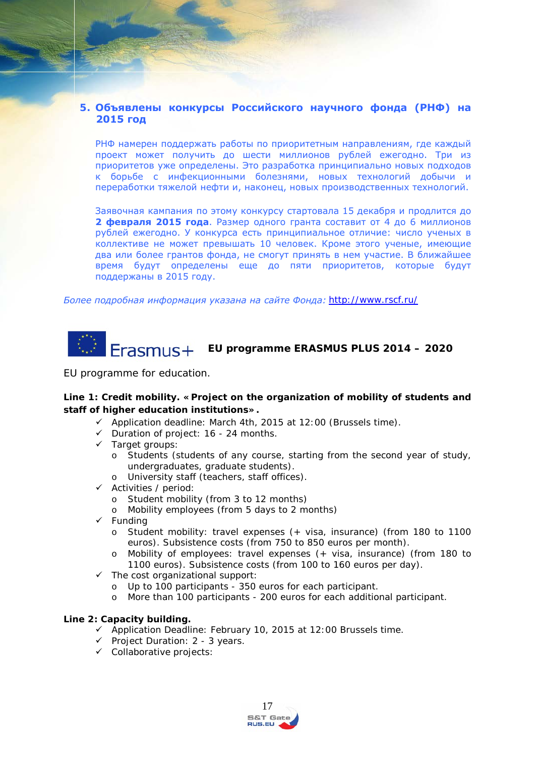#### **5. Объявлены конкурсы Российского научного фонда (РНФ) на 2015 год**

РНФ намерен поддержать работы по приоритетным направлениям, где каждый проект может получить до шести миллионов рублей ежегодно. Три из приоритетов уже определены. Это разработка принципиально новых подходов к борьбе с инфекционными болезнями, новых технологий добычи и переработки тяжелой нефти и, наконец, новых производственных технологий.

Заявочная кампания по этому конкурсу стартовала 15 декабря и продлится до **2 февраля 2015 года**. Размер одного гранта составит от 4 до 6 миллионов рублей ежегодно. У конкурса есть принципиальное отличие: число ученых в коллективе не может превышать 10 человек. Кроме этого ученые, имеющие два или более грантов фонда, не смогут принять в нем участие. В ближайшее время будут определены еще до пяти приоритетов, которые будут поддержаны в 2015 году.

*Более подробная информация указана на сайте Фонда: <http://www.rscf.ru/>*

# **EU programme ERASMUS PLUS 2014 – 2020**

EU programme for education.

#### **Line 1: Credit mobility. «Project on the organization of mobility of students and staff of higher education institutions».**

- <span id="page-16-0"></span> $\checkmark$  Application deadline: March 4th, 2015 at 12:00 (Brussels time).
- $\checkmark$  Duration of project: 16 24 months.
- Target groups:
	- o Students (students of any course, starting from the second year of study, undergraduates, graduate students).
	- o University staff (teachers, staff offices).
- $\checkmark$  Activities / period:
	- o Student mobility (from 3 to 12 months)
	- o Mobility employees (from 5 days to 2 months)
- $\checkmark$  Funding
	- o Student mobility: travel expenses (+ visa, insurance) (from 180 to 1100 euros). Subsistence costs (from 750 to 850 euros per month).
	- o Mobility of employees: travel expenses (+ visa, insurance) (from 180 to 1100 euros). Subsistence costs (from 100 to 160 euros per day).
- $\checkmark$  The cost organizational support:
	- o Up to 100 participants 350 euros for each participant.
	- o More than 100 participants 200 euros for each additional participant.

#### **Line 2: Capacity building.**

- $\checkmark$  Application Deadline: February 10, 2015 at 12:00 Brussels time.
- $\checkmark$  Project Duration: 2 3 years.
- $\checkmark$  Collaborative projects:

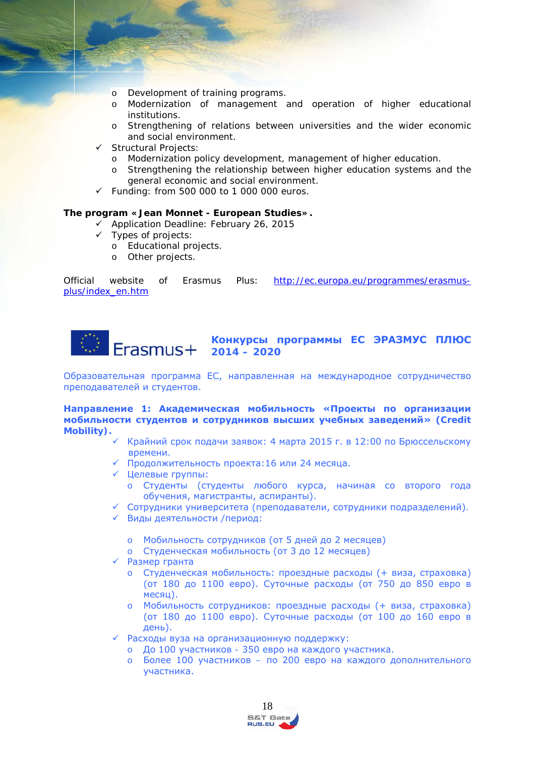- o Development of training programs.<br>
o Modernization of management a
- Modernization of management and operation of higher educational institutions.
- o Strengthening of relations between universities and the wider economic and social environment.
- $\checkmark$  Structural Projects:
	- o Modernization policy development, management of higher education.
	- o Strengthening the relationship between higher education systems and the general economic and social environment.
- $\checkmark$  Funding: from 500 000 to 1 000 000 euros.

#### **The program «Jean Monnet - European Studies».**

- $\checkmark$  Application Deadline: February 26, 2015
- $\checkmark$  Types of projects:
	- o Educational projects.
	- o Other projects.

*Official website of Erasmus Plus: [http://ec.europa.eu/programmes/erasmus](http://ec.europa.eu/programmes/erasmus-plus/index_en.htm)[plus/index\\_en.htm](http://ec.europa.eu/programmes/erasmus-plus/index_en.htm)*



Образовательная программа ЕС, направленная на международное сотрудничество преподавателей и студентов.

**Направление 1: Академическая мобильность «Проекты по организации мобильности студентов и сотрудников высших учебных заведений» (Credit Mobility).**

- <span id="page-17-0"></span> Крайний срок подачи заявок: 4 марта 2015 г. в 12:00 по Брюссельскому времени.
- Продолжительность проекта:16 или 24 месяца.
- Целевые группы:
	- o Студенты (студенты любого курса, начиная со второго года обучения, магистранты, аспиранты).
- Сотрудники университета (преподаватели, сотрудники подразделений).
- Виды деятельности /период:
	- o Мобильность сотрудников (от 5 дней до 2 месяцев)
	- o Студенческая мобильность (от 3 до 12 месяцев)
- Размер гранта
	- Студенческая мобильность: проездные расходы (+ виза, страховка) (от 180 до 1100 евро). Суточные расходы (от 750 до 850 евро в месяц).
	- o Мобильность сотрудников: проездные расходы (+ виза, страховка) (от 180 до 1100 евро). Суточные расходы (от 100 до 160 евро в день).
- Расходы вуза на организационную поддержку:
	- o До 100 участников 350 евро на каждого участника.
	- o Более 100 участников по 200 евро на каждого дополнительного участника.

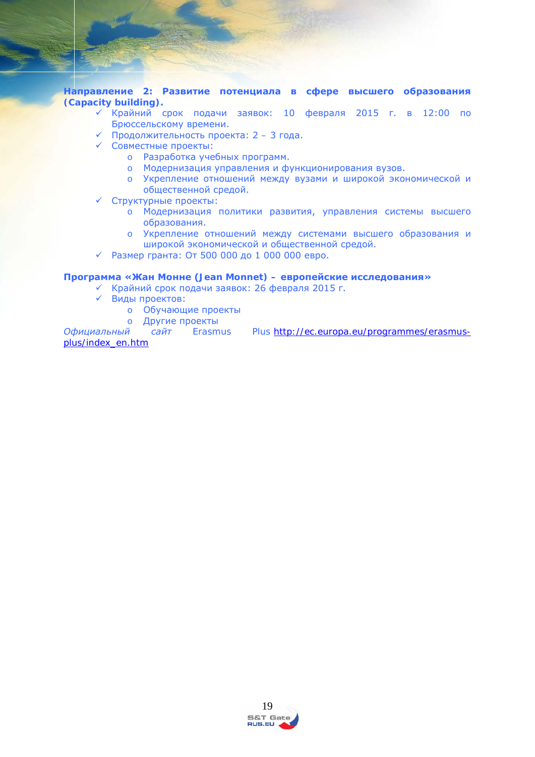**Направление 2: Развитие потенциала в сфере высшего образования (Capacity building).**

- Крайний срок подачи заявок: 10 февраля 2015 г. в 12:00 по Брюссельскому времени.
- Продолжительность проекта: 2 3 года.
- Совместные проекты:
	- o Разработка учебных программ.
	- o Модернизация управления и функционирования вузов.
	- o Укрепление отношений между вузами и широкой экономической и общественной средой.
- Структурные проекты:
	- o Модернизация политики развития, управления системы высшего образования.
	- o Укрепление отношений между системами высшего образования и широкой экономической и общественной средой.
- $\checkmark$  Размер гранта: От 500 000 до 1 000 000 евро.

#### **Программа «Жан Монне (Jean Monnet) – европейские исследования»**

- Крайний срок подачи заявок: 26 февраля 2015 г.
- Виды проектов:
	- o Обучающие проекты
	-

о Другие проекты<br>Официальный сайт Erasmus *Plus [http://ec.europa.eu/programmes/erasmus](http://ec.europa.eu/programmes/erasmus-plus/index_en.htm)[plus/index\\_en.htm](http://ec.europa.eu/programmes/erasmus-plus/index_en.htm)*